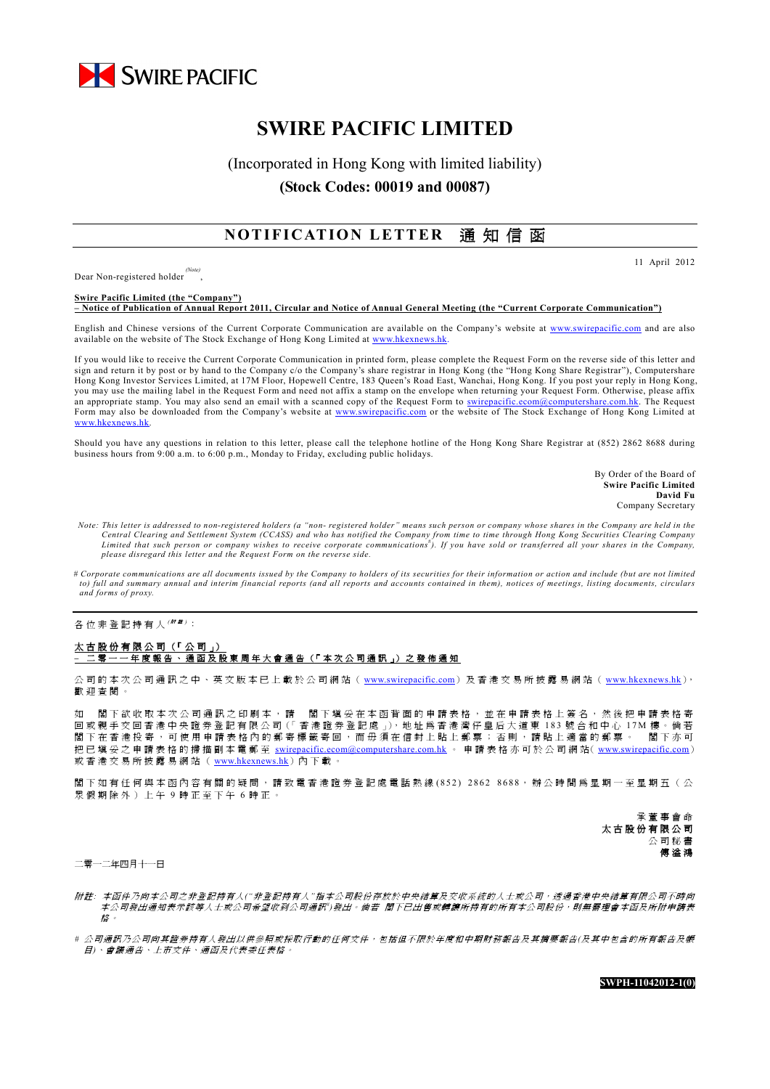

# **SWIRE PACIFIC LIMITED**

## (Incorporated in Hong Kong with limited liability) **(Stock Codes: 00019 and 00087)**

### **NOTIFICATION LETTER** 通 知 信 函

11 April 2012

Dear Non-registered holder ,

**Swire Pacific Limited (the "Company") – Notice of Publication of Annual Report 2011, Circular and Notice of Annual General Meeting (the "Current Corporate Communication")**

English and Chinese versions of the Current Corporate Communication are available on the Company's website at www.swirepacific.com and are also available on the website of The Stock Exchange of Hong Kong Limited at www.hkexnews.h

If you would like to receive the Current Corporate Communication in printed form, please complete the Request Form on the reverse side of this letter and sign and return it by post or by hand to the Company c/o the Company's share registrar in Hong Kong (the "Hong Kong Share Registrar"), Computershare Hong Kong Investor Services Limited, at 17M Floor, Hopewell Centre, 183 Queen's Road East, Wanchai, Hong Kong. If you post your reply in Hong Kong, you may use the mailing label in the Request Form and need not affix a stamp on the envelope when returning your Request Form. Otherwise, please affix an appropriate stamp. You may also send an email with a scanned copy of the Request Form to swirepacific.ecom@computershare.com.hk. The Request Form may also be downloaded from the Company's website at www.swirepacific.com or the website of The Stock Exchange of Hong Kong Limited at www.hkexnews.hk.

Should you have any questions in relation to this letter, please call the telephone hotline of the Hong Kong Share Registrar at (852) 2862 8688 during business hours from 9:00 a.m. to 6:00 p.m., Monday to Friday, excluding public holidays.

> By Order of the Board of **Swire Pacific Limited David Fu** Company Secretary

- *Note: This letter is addressed to non-registered holders (a "non- registered holder" means such person or company whose shares in the Company are held in the*  Central Clearing and Settlement System (CCASS) and who has notified the Company from time to time through Hong Kong Securities Clearing Company<br>Limited that such person or company wishes to receive corporate communications *please disregard this letter and the Request Form on the reverse side.*
- *# Corporate communications are all documents issued by the Company to holders of its securities for their information or action and include (but are not limited to) full and summary annual and interim financial reports (and all reports and accounts contained in them), notices of meetings, listing documents, circulars and forms of proxy.*

各位非登記持有人 <sup>( \|| '#)</sup>:

#### 太古股份有限公司 (「公司」) **–** 二 零 一 一 年 度 報 告 、 通 函 及 股 東 周 年 大 會 通 告 (「 本 次 公 司 通 訊 」) 之 發 佈 通 知

公司的本次公司通訊之中、英文版本已上載於公司網站( www.swirepacific.com)及香港交易所披露易網站( www.hkexnews.hk), 歡迎查閱。

如 閣下欲收取本次公司通訊之印刷本,請 閣下填妥在本函背面的申請表格,並在申請表格上簽名,然後把申請表格寄 回 或 親 手 交 回 香 港 中 央 證 券 登 記 有 限 公 司 (「香 港 證 券 登 記 處 」), 地 址 爲 香 港 灣 仔 皇 后 大 道 東 183 號 合 和 中 心 17M 樓 。 倘 若 閣下在香港投寄,可使用申請表格內的郵寄標籤寄回,而毋須在信封上貼上郵票;否則,請貼上適當的郵票。 閣下亦可 把已填妥之申請表格的掃描副本電郵至 swirepacific.ecom@computershare.com.hk 。 申請表格亦可於公司網站( www.swirepacific.com) 或香港交易所披露易網站(www.hkexnews.hk)內下載。

閣下如有任何與本函內容有關的疑問,請致電香港證券登記處電話熱線 (852) 2862 8688,辦公時間為星期一至星期五(公 眾假期除外)上午 9 時正至下午 6 時正。

> 承董事會命 太古股份有限公司 公司秘書 傅 溢 鴻

二零一二年四月十一日

- 附 註*:* 本函件乃向本公司之非登記持有人*("*非登記持有人*"*指本公司股份存放於中央結算及交收系統的人士或公司,透過香港中央結算有限公司不時向 本公司發出通知表示該等人士或公司希望收到公司通訊")發出。倘若 閣下已出售或轉讓所持有的所有本公司股份,則無需理會本函及所附申請表 格 。
- *#* 公司通訊乃公司向其證券持有人發出以供參照或採取行動的任何文件,包括但不限於年度和中期財務報告及其摘要報告*(*及其中包含的所有報告及帳 目*)*、會議通告、上市文件、通函及代表委任表格。

**SWPH-11042012-1(0)**